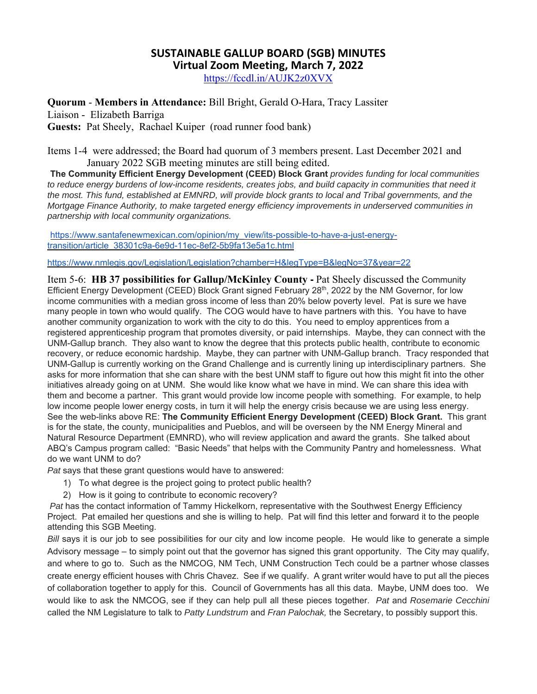## **SUSTAINABLE GALLUP BOARD (SGB) MINUTES Virtual Zoom Meeting, March 7, 2022**

https://fccdl.in/AUJK2z0XVX

**Quorum** - **Members in Attendance:** Bill Bright, Gerald O-Hara, Tracy Lassiter

Liaison - Elizabeth Barriga **Guests:** Pat Sheely, Rachael Kuiper (road runner food bank)

Items 1-4 were addressed; the Board had quorum of 3 members present. Last December 2021 and January 2022 SGB meeting minutes are still being edited.

**The Community Efficient Energy Development (CEED) Block Grant** *provides funding for local communities to reduce energy burdens of low-income residents, creates jobs, and build capacity in communities that need it the most. This fund, established at EMNRD, will provide block grants to local and Tribal governments, and the Mortgage Finance Authority, to make targeted energy efficiency improvements in underserved communities in partnership with local community organizations.* 

https://www.santafenewmexican.com/opinion/my\_view/its-possible-to-have-a-just-energytransition/article\_38301c9a-6e9d-11ec-8ef2-5b9fa13e5a1c.html

https://www.nmlegis.gov/Legislation/Legislation?chamber=H&legType=B&legNo=37&year=22

Item 5-6: **HB 37 possibilities for Gallup/McKinley County -** Pat Sheely discussed the Community Efficient Energy Development (CEED) Block Grant signed February 28<sup>th</sup>, 2022 by the NM Governor, for low income communities with a median gross income of less than 20% below poverty level. Pat is sure we have many people in town who would qualify. The COG would have to have partners with this. You have to have another community organization to work with the city to do this. You need to employ apprentices from a registered apprenticeship program that promotes diversity, or paid internships. Maybe, they can connect with the UNM-Gallup branch. They also want to know the degree that this protects public health, contribute to economic recovery, or reduce economic hardship. Maybe, they can partner with UNM-Gallup branch. Tracy responded that UNM-Gallup is currently working on the Grand Challenge and is currently lining up interdisciplinary partners. She asks for more information that she can share with the best UNM staff to figure out how this might fit into the other initiatives already going on at UNM. She would like know what we have in mind. We can share this idea with them and become a partner. This grant would provide low income people with something. For example, to help low income people lower energy costs, in turn it will help the energy crisis because we are using less energy. See the web-links above RE: **The Community Efficient Energy Development (CEED) Block Grant.** This grant is for the state, the county, municipalities and Pueblos, and will be overseen by the NM Energy Mineral and Natural Resource Department (EMNRD), who will review application and award the grants. She talked about ABQ's Campus program called: "Basic Needs" that helps with the Community Pantry and homelessness. What do we want UNM to do?

*Pat* says that these grant questions would have to answered:

- 1) To what degree is the project going to protect public health?
- 2) How is it going to contribute to economic recovery?

*Pat* has the contact information of Tammy Hickelkorn, representative with the Southwest Energy Efficiency Project. Pat emailed her questions and she is willing to help. Pat will find this letter and forward it to the people attending this SGB Meeting.

*Bill* says it is our job to see possibilities for our city and low income people. He would like to generate a simple Advisory message – to simply point out that the governor has signed this grant opportunity. The City may qualify, and where to go to. Such as the NMCOG, NM Tech, UNM Construction Tech could be a partner whose classes create energy efficient houses with Chris Chavez. See if we qualify. A grant writer would have to put all the pieces of collaboration together to apply for this. Council of Governments has all this data. Maybe, UNM does too. We would like to ask the NMCOG, see if they can help pull all these pieces together. *Pat* and *Rosemarie Cecchini*  called the NM Legislature to talk to *Patty Lundstrum* and *Fran Palochak,* the Secretary, to possibly support this.